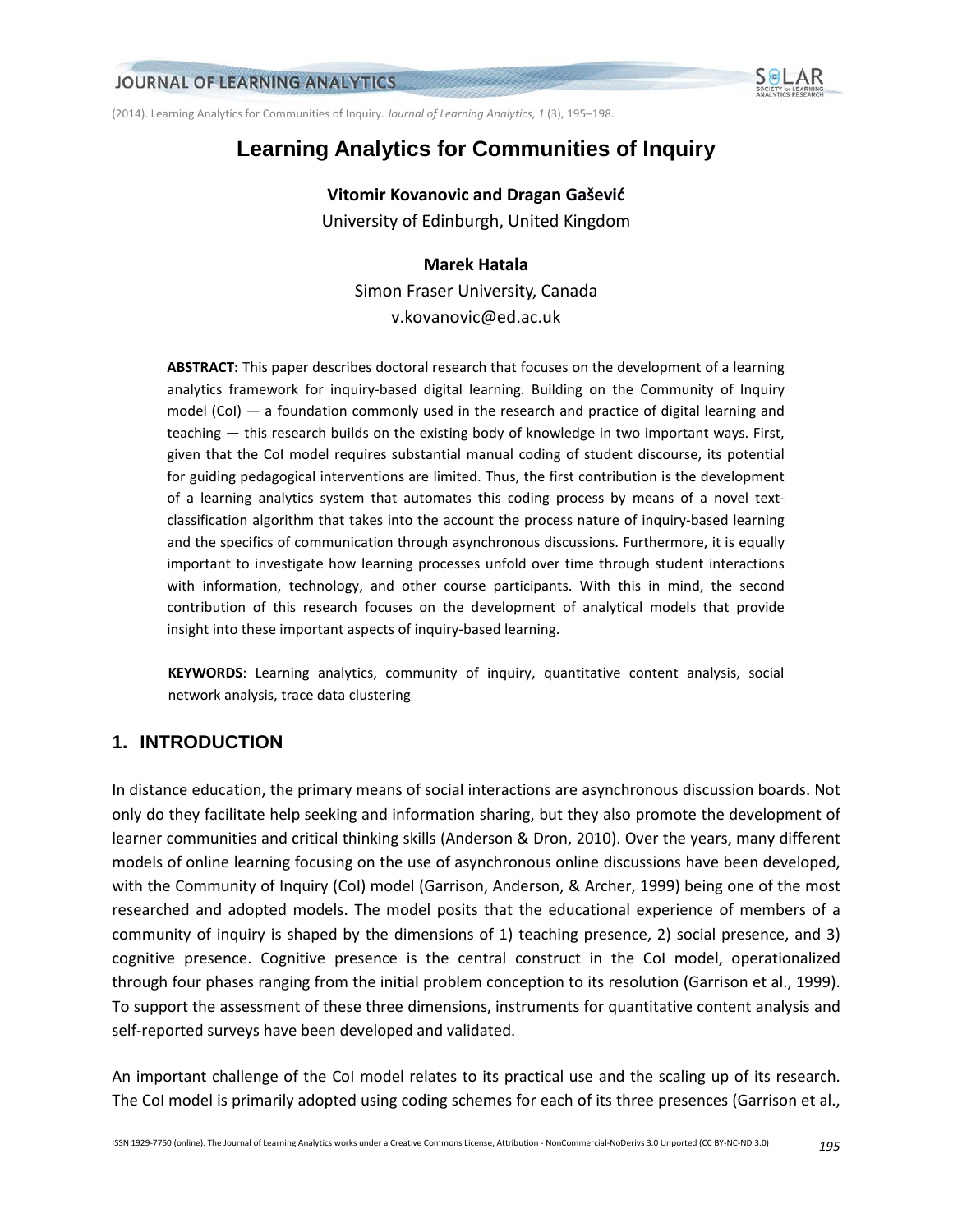(2014). Learning Analytics for Communities of Inquiry. *Journal of Learning Analytics*, *1* (3), 195–198.

# **Learning Analytics for Communities of Inquiry**

**Vitomir Kovanovic and Dragan Gašević** University of Edinburgh, United Kingdom

## **Marek Hatala**

Simon Fraser University, Canada v.kovanovic@ed.ac.uk

**ABSTRACT:** This paper describes doctoral research that focuses on the development of a learning analytics framework for inquiry-based digital learning. Building on the Community of Inquiry model (CoI) — a foundation commonly used in the research and practice of digital learning and teaching — this research builds on the existing body of knowledge in two important ways. First, given that the CoI model requires substantial manual coding of student discourse, its potential for guiding pedagogical interventions are limited. Thus, the first contribution is the development of a learning analytics system that automates this coding process by means of a novel textclassification algorithm that takes into the account the process nature of inquiry-based learning and the specifics of communication through asynchronous discussions. Furthermore, it is equally important to investigate how learning processes unfold over time through student interactions with information, technology, and other course participants. With this in mind, the second contribution of this research focuses on the development of analytical models that provide insight into these important aspects of inquiry-based learning.

**KEYWORDS**: Learning analytics, community of inquiry, quantitative content analysis, social network analysis, trace data clustering

# **1. INTRODUCTION**

In distance education, the primary means of social interactions are asynchronous discussion boards. Not only do they facilitate help seeking and information sharing, but they also promote the development of learner communities and critical thinking skills (Anderson & Dron, 2010). Over the years, many different models of online learning focusing on the use of asynchronous online discussions have been developed, with the Community of Inquiry (CoI) model (Garrison, Anderson, & Archer, 1999) being one of the most researched and adopted models. The model posits that the educational experience of members of a community of inquiry is shaped by the dimensions of 1) teaching presence, 2) social presence, and 3) cognitive presence. Cognitive presence is the central construct in the CoI model, operationalized through four phases ranging from the initial problem conception to its resolution (Garrison et al., 1999). To support the assessment of these three dimensions, instruments for quantitative content analysis and self-reported surveys have been developed and validated.

An important challenge of the CoI model relates to its practical use and the scaling up of its research. The CoI model is primarily adopted using coding schemes for each of its three presences (Garrison et al.,

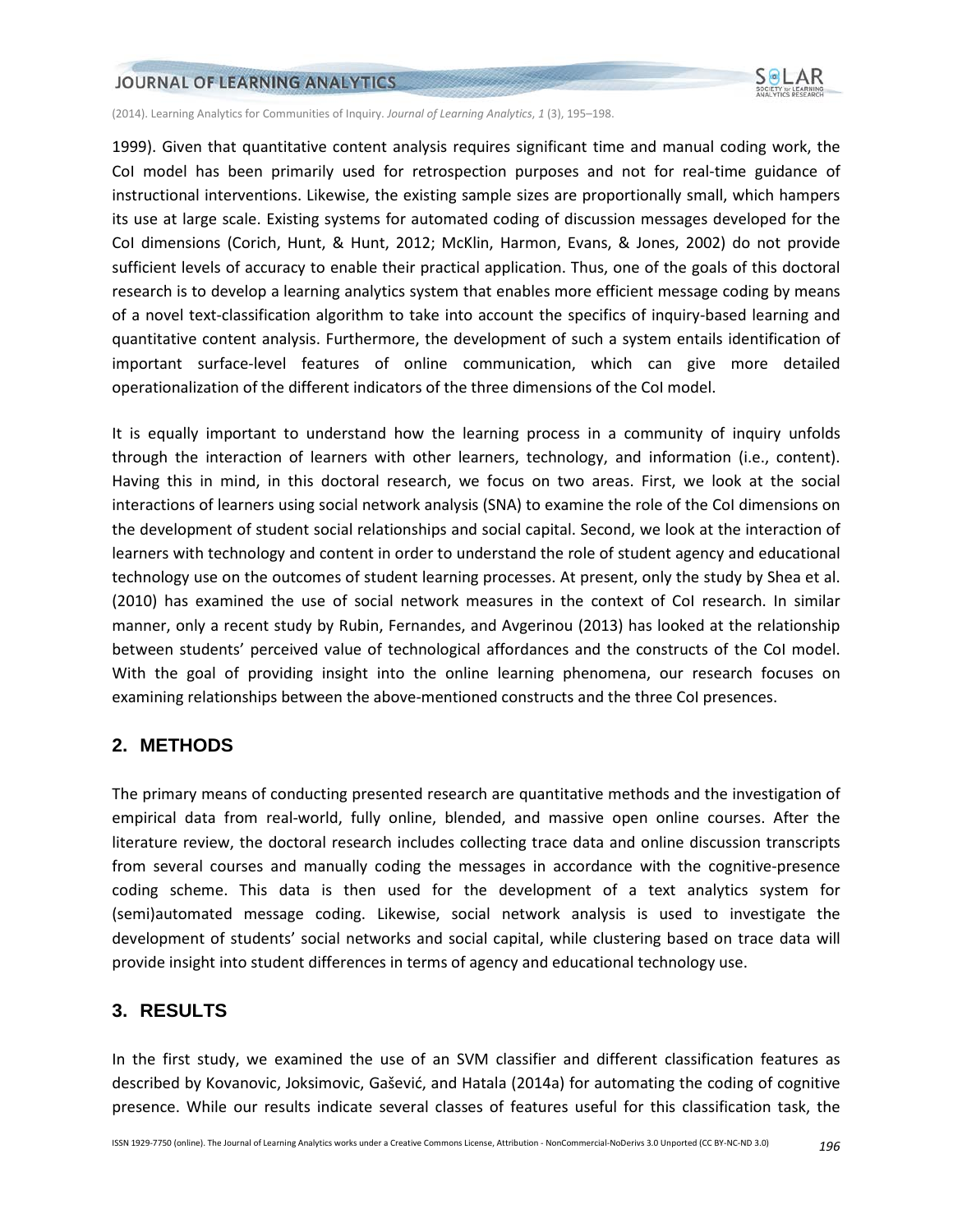### JOURNAL OF LEARNING ANALYTICS



(2014). Learning Analytics for Communities of Inquiry. *Journal of Learning Analytics*, *1* (3), 195–198.

1999). Given that quantitative content analysis requires significant time and manual coding work, the CoI model has been primarily used for retrospection purposes and not for real-time guidance of instructional interventions. Likewise, the existing sample sizes are proportionally small, which hampers its use at large scale. Existing systems for automated coding of discussion messages developed for the CoI dimensions (Corich, Hunt, & Hunt, 2012; McKlin, Harmon, Evans, & Jones, 2002) do not provide sufficient levels of accuracy to enable their practical application. Thus, one of the goals of this doctoral research is to develop a learning analytics system that enables more efficient message coding by means of a novel text-classification algorithm to take into account the specifics of inquiry-based learning and quantitative content analysis. Furthermore, the development of such a system entails identification of important surface-level features of online communication, which can give more detailed operationalization of the different indicators of the three dimensions of the CoI model.

It is equally important to understand how the learning process in a community of inquiry unfolds through the interaction of learners with other learners, technology, and information (i.e., content). Having this in mind, in this doctoral research, we focus on two areas. First, we look at the social interactions of learners using social network analysis (SNA) to examine the role of the CoI dimensions on the development of student social relationships and social capital. Second, we look at the interaction of learners with technology and content in order to understand the role of student agency and educational technology use on the outcomes of student learning processes. At present, only the study by Shea et al. (2010) has examined the use of social network measures in the context of CoI research. In similar manner, only a recent study by Rubin, Fernandes, and Avgerinou (2013) has looked at the relationship between students' perceived value of technological affordances and the constructs of the CoI model. With the goal of providing insight into the online learning phenomena, our research focuses on examining relationships between the above-mentioned constructs and the three CoI presences.

## **2. METHODS**

The primary means of conducting presented research are quantitative methods and the investigation of empirical data from real-world, fully online, blended, and massive open online courses. After the literature review, the doctoral research includes collecting trace data and online discussion transcripts from several courses and manually coding the messages in accordance with the cognitive-presence coding scheme. This data is then used for the development of a text analytics system for (semi)automated message coding. Likewise, social network analysis is used to investigate the development of students' social networks and social capital, while clustering based on trace data will provide insight into student differences in terms of agency and educational technology use.

# **3. RESULTS**

In the first study, we examined the use of an SVM classifier and different classification features as described by Kovanovic, Joksimovic, Gašević, and Hatala (2014a) for automating the coding of cognitive presence. While our results indicate several classes of features useful for this classification task, the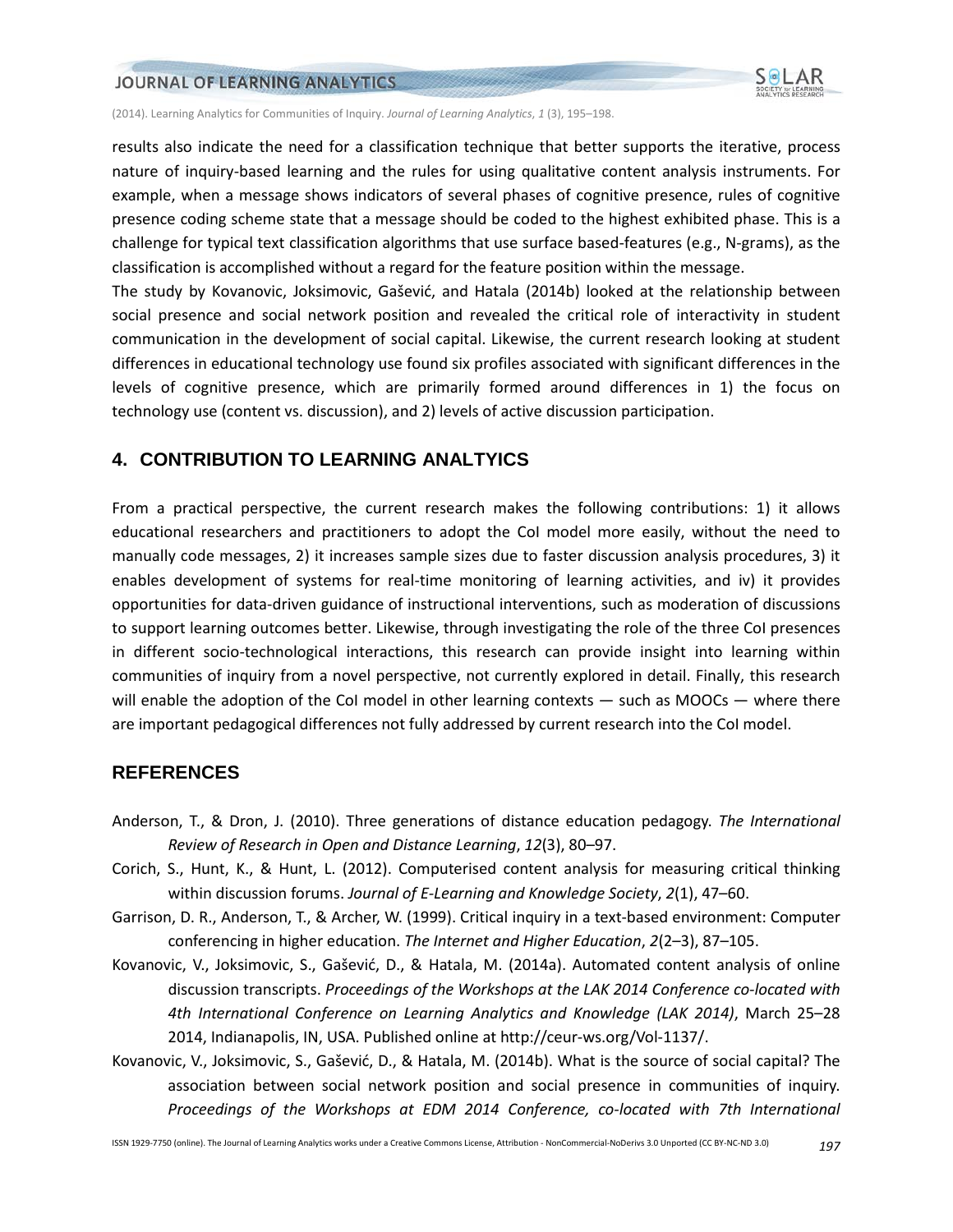#### JOURNAL OF LEARNING ANALYTICS



(2014). Learning Analytics for Communities of Inquiry. *Journal of Learning Analytics*, *1* (3), 195–198.

results also indicate the need for a classification technique that better supports the iterative, process nature of inquiry-based learning and the rules for using qualitative content analysis instruments. For example, when a message shows indicators of several phases of cognitive presence, rules of cognitive presence coding scheme state that a message should be coded to the highest exhibited phase. This is a challenge for typical text classification algorithms that use surface based-features (e.g., N-grams), as the classification is accomplished without a regard for the feature position within the message.

The study by Kovanovic, Joksimovic, Gašević, and Hatala (2014b) looked at the relationship between social presence and social network position and revealed the critical role of interactivity in student communication in the development of social capital. Likewise, the current research looking at student differences in educational technology use found six profiles associated with significant differences in the levels of cognitive presence, which are primarily formed around differences in 1) the focus on technology use (content vs. discussion), and 2) levels of active discussion participation.

## **4. CONTRIBUTION TO LEARNING ANALTYICS**

From a practical perspective, the current research makes the following contributions: 1) it allows educational researchers and practitioners to adopt the CoI model more easily, without the need to manually code messages, 2) it increases sample sizes due to faster discussion analysis procedures, 3) it enables development of systems for real-time monitoring of learning activities, and iv) it provides opportunities for data-driven guidance of instructional interventions, such as moderation of discussions to support learning outcomes better. Likewise, through investigating the role of the three CoI presences in different socio-technological interactions, this research can provide insight into learning within communities of inquiry from a novel perspective, not currently explored in detail. Finally, this research will enable the adoption of the CoI model in other learning contexts — such as MOOCs — where there are important pedagogical differences not fully addressed by current research into the CoI model.

## **REFERENCES**

- Anderson, T., & Dron, J. (2010). Three generations of distance education pedagogy. *The International Review of Research in Open and Distance Learning*, *12*(3), 80–97.
- Corich, S., Hunt, K., & Hunt, L. (2012). Computerised content analysis for measuring critical thinking within discussion forums. *Journal of E-Learning and Knowledge Society*, *2*(1), 47–60.
- Garrison, D. R., Anderson, T., & Archer, W. (1999). Critical inquiry in a text-based environment: Computer conferencing in higher education. *The Internet and Higher Education*, *2*(2–3), 87–105.
- Kovanovic, V., Joksimovic, S., Gašević, D., & Hatala, M. (2014a). Automated content analysis of online discussion transcripts. *Proceedings of the Workshops at the LAK 2014 Conference co-located with 4th International Conference on Learning Analytics and Knowledge (LAK 2014)*, March 25–28 2014, Indianapolis, IN, USA. Published online at http://ceur-ws.org/Vol-1137/.
- Kovanovic, V., Joksimovic, S., Gašević, D., & Hatala, M. (2014b). What is the source of social capital? The association between social network position and social presence in communities of inquiry. *Proceedings of the Workshops at EDM 2014 Conference, co-located with 7th International*